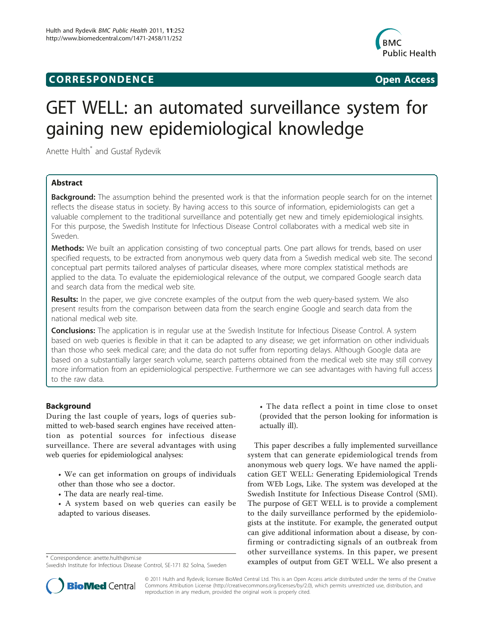# E SPOND ENCE CORRESPONDENCE And the control of the control of the control of the control open Access  $\sim$



# GET WELL: an automated surveillance system for gaining new epidemiological knowledge

Anette Hulth\* and Gustaf Rydevik

# Abstract

**Background:** The assumption behind the presented work is that the information people search for on the internet reflects the disease status in society. By having access to this source of information, epidemiologists can get a valuable complement to the traditional surveillance and potentially get new and timely epidemiological insights. For this purpose, the Swedish Institute for Infectious Disease Control collaborates with a medical web site in Sweden.

**Methods:** We built an application consisting of two conceptual parts. One part allows for trends, based on user specified requests, to be extracted from anonymous web query data from a Swedish medical web site. The second conceptual part permits tailored analyses of particular diseases, where more complex statistical methods are applied to the data. To evaluate the epidemiological relevance of the output, we compared Google search data and search data from the medical web site.

Results: In the paper, we give concrete examples of the output from the web query-based system. We also present results from the comparison between data from the search engine Google and search data from the national medical web site.

Conclusions: The application is in regular use at the Swedish Institute for Infectious Disease Control. A system based on web queries is flexible in that it can be adapted to any disease; we get information on other individuals than those who seek medical care; and the data do not suffer from reporting delays. Although Google data are based on a substantially larger search volume, search patterns obtained from the medical web site may still convey more information from an epidemiological perspective. Furthermore we can see advantages with having full access to the raw data.

# Background

During the last couple of years, logs of queries submitted to web-based search engines have received attention as potential sources for infectious disease surveillance. There are several advantages with using web queries for epidemiological analyses:

- We can get information on groups of individuals other than those who see a doctor.
- The data are nearly real-time.
- A system based on web queries can easily be adapted to various diseases.

• The data reflect a point in time close to onset (provided that the person looking for information is actually ill).

This paper describes a fully implemented surveillance system that can generate epidemiological trends from anonymous web query logs. We have named the application GET WELL: Generating Epidemiological Trends from WEb Logs, Like. The system was developed at the Swedish Institute for Infectious Disease Control (SMI). The purpose of GET WELL is to provide a complement to the daily surveillance performed by the epidemiologists at the institute. For example, the generated output can give additional information about a disease, by confirming or contradicting signals of an outbreak from other surveillance systems. In this paper, we present \* Correspondence: [anette.hulth@smi.se](mailto:anette.hulth@smi.se)<br>Swedish Institute for Infoctious Disoase Control SE 171.82 Solon, Swedon **examples of output from GET WELL. We also present a** 



© 2011 Hulth and Rydevik; licensee BioMed Central Ltd. This is an Open Access article distributed under the terms of the Creative Commons Attribution License [\(http://creativecommons.org/licenses/by/2.0](http://creativecommons.org/licenses/by/2.0)), which permits unrestricted use, distribution, and reproduction in any medium, provided the original work is properly cited.

Swedish Institute for Infectious Disease Control, SE-171 82 Solna, Sweden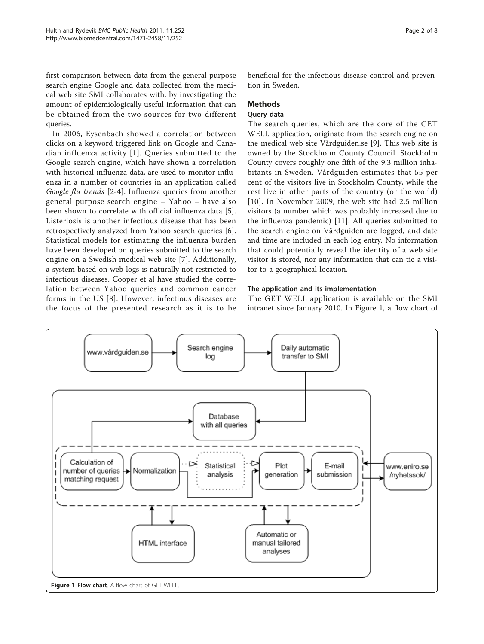first comparison between data from the general purpose search engine Google and data collected from the medical web site SMI collaborates with, by investigating the amount of epidemiologically useful information that can be obtained from the two sources for two different queries.

In 2006, Eysenbach showed a correlation between clicks on a keyword triggered link on Google and Canadian influenza activity [[1](#page-6-0)]. Queries submitted to the Google search engine, which have shown a correlation with historical influenza data, are used to monitor influenza in a number of countries in an application called Google flu trends [\[2](#page-6-0)-[4](#page-6-0)]. Influenza queries from another general purpose search engine – Yahoo – have also been shown to correlate with official influenza data [\[5](#page-6-0)]. Listeriosis is another infectious disease that has been retrospectively analyzed from Yahoo search queries [\[6](#page-6-0)]. Statistical models for estimating the influenza burden have been developed on queries submitted to the search engine on a Swedish medical web site [\[7](#page-6-0)]. Additionally, a system based on web logs is naturally not restricted to infectious diseases. Cooper et al have studied the correlation between Yahoo queries and common cancer forms in the US [\[8\]](#page-6-0). However, infectious diseases are the focus of the presented research as it is to be

beneficial for the infectious disease control and prevention in Sweden.

## Methods

# Query data

The search queries, which are the core of the GET WELL application, originate from the search engine on the medical web site Vårdguiden.se [\[9](#page-6-0)]. This web site is owned by the Stockholm County Council. Stockholm County covers roughly one fifth of the 9.3 million inhabitants in Sweden. Vårdguiden estimates that 55 per cent of the visitors live in Stockholm County, while the rest live in other parts of the country (or the world) [[10\]](#page-6-0). In November 2009, the web site had 2.5 million visitors (a number which was probably increased due to the influenza pandemic) [[11](#page-6-0)]. All queries submitted to the search engine on Vårdguiden are logged, and date and time are included in each log entry. No information that could potentially reveal the identity of a web site visitor is stored, nor any information that can tie a visitor to a geographical location.

#### The application and its implementation

The GET WELL application is available on the SMI intranet since January 2010. In Figure 1, a flow chart of

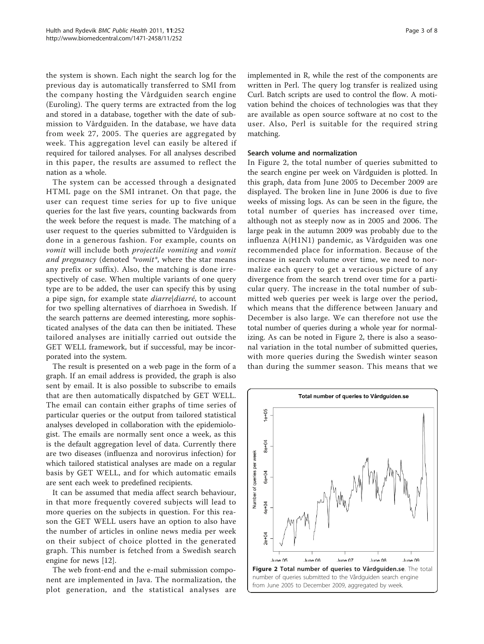the system is shown. Each night the search log for the previous day is automatically transferred to SMI from the company hosting the Vårdguiden search engine (Euroling). The query terms are extracted from the log and stored in a database, together with the date of submission to Vårdguiden. In the database, we have data from week 27, 2005. The queries are aggregated by week. This aggregation level can easily be altered if required for tailored analyses. For all analyses described in this paper, the results are assumed to reflect the nation as a whole.

The system can be accessed through a designated HTML page on the SMI intranet. On that page, the user can request time series for up to five unique queries for the last five years, counting backwards from the week before the request is made. The matching of a user request to the queries submitted to Vårdguiden is done in a generous fashion. For example, counts on vomit will include both projectile vomiting and vomit and pregnancy (denoted \*vomit\*, where the star means any prefix or suffix). Also, the matching is done irrespectively of case. When multiple variants of one query type are to be added, the user can specify this by using a pipe sign, for example state diarre|diarré, to account for two spelling alternatives of diarrhoea in Swedish. If the search patterns are deemed interesting, more sophisticated analyses of the data can then be initiated. These tailored analyses are initially carried out outside the GET WELL framework, but if successful, may be incorporated into the system.

The result is presented on a web page in the form of a graph. If an email address is provided, the graph is also sent by email. It is also possible to subscribe to emails that are then automatically dispatched by GET WELL. The email can contain either graphs of time series of particular queries or the output from tailored statistical analyses developed in collaboration with the epidemiologist. The emails are normally sent once a week, as this is the default aggregation level of data. Currently there are two diseases (influenza and norovirus infection) for which tailored statistical analyses are made on a regular basis by GET WELL, and for which automatic emails are sent each week to predefined recipients.

It can be assumed that media affect search behaviour, in that more frequently covered subjects will lead to more queries on the subjects in question. For this reason the GET WELL users have an option to also have the number of articles in online news media per week on their subject of choice plotted in the generated graph. This number is fetched from a Swedish search engine for news [\[12](#page-6-0)].

The web front-end and the e-mail submission component are implemented in Java. The normalization, the plot generation, and the statistical analyses are implemented in R, while the rest of the components are written in Perl. The query log transfer is realized using Curl. Batch scripts are used to control the flow. A motivation behind the choices of technologies was that they are available as open source software at no cost to the user. Also, Perl is suitable for the required string matching.

#### Search volume and normalization

In Figure 2, the total number of queries submitted to the search engine per week on Vårdguiden is plotted. In this graph, data from June 2005 to December 2009 are displayed. The broken line in June 2006 is due to five weeks of missing logs. As can be seen in the figure, the total number of queries has increased over time, although not as steeply now as in 2005 and 2006. The large peak in the autumn 2009 was probably due to the influenza A(H1N1) pandemic, as Vårdguiden was one recommended place for information. Because of the increase in search volume over time, we need to normalize each query to get a veracious picture of any divergence from the search trend over time for a particular query. The increase in the total number of submitted web queries per week is large over the period, which means that the difference between January and December is also large. We can therefore not use the total number of queries during a whole year for normalizing. As can be noted in Figure 2, there is also a seasonal variation in the total number of submitted queries, with more queries during the Swedish winter season than during the summer season. This means that we

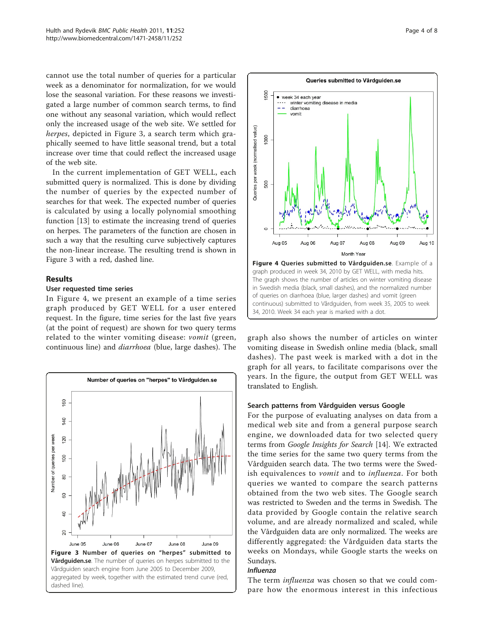cannot use the total number of queries for a particular week as a denominator for normalization, for we would lose the seasonal variation. For these reasons we investigated a large number of common search terms, to find one without any seasonal variation, which would reflect only the increased usage of the web site. We settled for herpes, depicted in Figure 3, a search term which graphically seemed to have little seasonal trend, but a total increase over time that could reflect the increased usage of the web site.

In the current implementation of GET WELL, each submitted query is normalized. This is done by dividing the number of queries by the expected number of searches for that week. The expected number of queries is calculated by using a locally polynomial smoothing function [[13](#page-7-0)] to estimate the increasing trend of queries on herpes. The parameters of the function are chosen in such a way that the resulting curve subjectively captures the non-linear increase. The resulting trend is shown in Figure 3 with a red, dashed line.

## Results

#### User requested time series

In Figure 4, we present an example of a time series graph produced by GET WELL for a user entered request. In the figure, time series for the last five years (at the point of request) are shown for two query terms related to the winter vomiting disease: vomit (green, continuous line) and diarrhoea (blue, large dashes). The





graph also shows the number of articles on winter vomiting disease in Swedish online media (black, small dashes). The past week is marked with a dot in the graph for all years, to facilitate comparisons over the years. In the figure, the output from GET WELL was translated to English.

#### Search patterns from Vårdguiden versus Google

For the purpose of evaluating analyses on data from a medical web site and from a general purpose search engine, we downloaded data for two selected query terms from Google Insights for Search [\[14](#page-7-0)]. We extracted the time series for the same two query terms from the Vårdguiden search data. The two terms were the Swedish equivalences to *vomit* and to *influenza*. For both queries we wanted to compare the search patterns obtained from the two web sites. The Google search was restricted to Sweden and the terms in Swedish. The data provided by Google contain the relative search volume, and are already normalized and scaled, while the Vårdguiden data are only normalized. The weeks are differently aggregated: the Vårdguiden data starts the weeks on Mondays, while Google starts the weeks on Sundays.

#### Influenza

The term *influenza* was chosen so that we could compare how the enormous interest in this infectious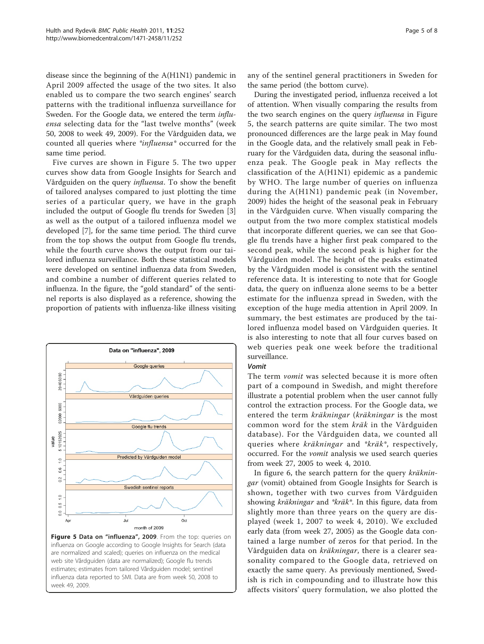disease since the beginning of the A(H1N1) pandemic in April 2009 affected the usage of the two sites. It also enabled us to compare the two search engines' search patterns with the traditional influenza surveillance for Sweden. For the Google data, we entered the term influensa selecting data for the "last twelve months" (week 50, 2008 to week 49, 2009). For the Vårdguiden data, we counted all queries where \*influensa\* occurred for the same time period.

Five curves are shown in Figure 5. The two upper curves show data from Google Insights for Search and Vårdguiden on the query influensa. To show the benefit of tailored analyses compared to just plotting the time series of a particular query, we have in the graph included the output of Google flu trends for Sweden [\[3](#page-6-0)] as well as the output of a tailored influenza model we developed [\[7\]](#page-6-0), for the same time period. The third curve from the top shows the output from Google flu trends, while the fourth curve shows the output from our tailored influenza surveillance. Both these statistical models were developed on sentinel influenza data from Sweden, and combine a number of different queries related to influenza. In the figure, the "gold standard" of the sentinel reports is also displayed as a reference, showing the proportion of patients with influenza-like illness visiting



any of the sentinel general practitioners in Sweden for the same period (the bottom curve).

During the investigated period, influenza received a lot of attention. When visually comparing the results from the two search engines on the query *influensa* in Figure 5, the search patterns are quite similar. The two most pronounced differences are the large peak in May found in the Google data, and the relatively small peak in February for the Vårdguiden data, during the seasonal influenza peak. The Google peak in May reflects the classification of the A(H1N1) epidemic as a pandemic by WHO. The large number of queries on influenza during the A(H1N1) pandemic peak (in November, 2009) hides the height of the seasonal peak in February in the Vårdguiden curve. When visually comparing the output from the two more complex statistical models that incorporate different queries, we can see that Google flu trends have a higher first peak compared to the second peak, while the second peak is higher for the Vårdguiden model. The height of the peaks estimated by the Vårdguiden model is consistent with the sentinel reference data. It is interesting to note that for Google data, the query on influenza alone seems to be a better estimate for the influenza spread in Sweden, with the exception of the huge media attention in April 2009. In summary, the best estimates are produced by the tailored influenza model based on Vårdguiden queries. It is also interesting to note that all four curves based on web queries peak one week before the traditional surveillance.

#### Vomit

The term *vomit* was selected because it is more often part of a compound in Swedish, and might therefore illustrate a potential problem when the user cannot fully control the extraction process. For the Google data, we entered the term kräkningar (kräkningar is the most common word for the stem kräk in the Vårdguiden database). For the Vårdguiden data, we counted all queries where kräkningar and \*kräk\*, respectively, occurred. For the vomit analysis we used search queries from week 27, 2005 to week 4, 2010.

In figure [6,](#page-5-0) the search pattern for the query kräkningar (vomit) obtained from Google Insights for Search is shown, together with two curves from Vårdguiden showing kräkningar and \*kräk\*. In this figure, data from slightly more than three years on the query are displayed (week 1, 2007 to week 4, 2010). We excluded early data (from week 27, 2005) as the Google data contained a large number of zeros for that period. In the Vårdguiden data on kräkningar, there is a clearer seasonality compared to the Google data, retrieved on exactly the same query. As previously mentioned, Swedish is rich in compounding and to illustrate how this affects visitors' query formulation, we also plotted the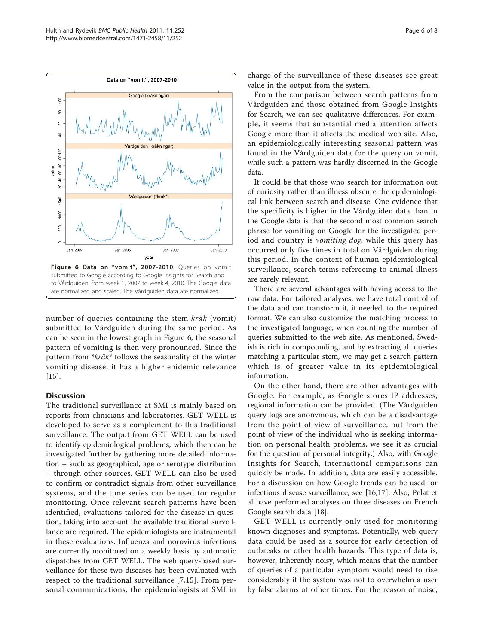<span id="page-5-0"></span>

number of queries containing the stem kräk (vomit) submitted to Vårdguiden during the same period. As can be seen in the lowest graph in Figure 6, the seasonal pattern of vomiting is then very pronounced. Since the pattern from \*kräk\* follows the seasonality of the winter vomiting disease, it has a higher epidemic relevance [[15\]](#page-7-0).

## Discussion

The traditional surveillance at SMI is mainly based on reports from clinicians and laboratories. GET WELL is developed to serve as a complement to this traditional surveillance. The output from GET WELL can be used to identify epidemiological problems, which then can be investigated further by gathering more detailed information – such as geographical, age or serotype distribution – through other sources. GET WELL can also be used to confirm or contradict signals from other surveillance systems, and the time series can be used for regular monitoring. Once relevant search patterns have been identified, evaluations tailored for the disease in question, taking into account the available traditional surveillance are required. The epidemiologists are instrumental in these evaluations. Influenza and norovirus infections are currently monitored on a weekly basis by automatic dispatches from GET WELL. The web query-based surveillance for these two diseases has been evaluated with respect to the traditional surveillance [\[7](#page-6-0)[,15\]](#page-7-0). From personal communications, the epidemiologists at SMI in charge of the surveillance of these diseases see great value in the output from the system.

From the comparison between search patterns from Vårdguiden and those obtained from Google Insights for Search, we can see qualitative differences. For example, it seems that substantial media attention affects Google more than it affects the medical web site. Also, an epidemiologically interesting seasonal pattern was found in the Vårdguiden data for the query on vomit, while such a pattern was hardly discerned in the Google data.

It could be that those who search for information out of curiosity rather than illness obscure the epidemiological link between search and disease. One evidence that the specificity is higher in the Vårdguiden data than in the Google data is that the second most common search phrase for vomiting on Google for the investigated period and country is *vomiting dog*, while this query has occurred only five times in total on Vårdguiden during this period. In the context of human epidemiological surveillance, search terms refereeing to animal illness are rarely relevant.

There are several advantages with having access to the raw data. For tailored analyses, we have total control of the data and can transform it, if needed, to the required format. We can also customize the matching process to the investigated language, when counting the number of queries submitted to the web site. As mentioned, Swedish is rich in compounding, and by extracting all queries matching a particular stem, we may get a search pattern which is of greater value in its epidemiological information.

On the other hand, there are other advantages with Google. For example, as Google stores IP addresses, regional information can be provided. (The Vårdguiden query logs are anonymous, which can be a disadvantage from the point of view of surveillance, but from the point of view of the individual who is seeking information on personal health problems, we see it as crucial for the question of personal integrity.) Also, with Google Insights for Search, international comparisons can quickly be made. In addition, data are easily accessible. For a discussion on how Google trends can be used for infectious disease surveillance, see [[16,17\]](#page-7-0). Also, Pelat et al have performed analyses on three diseases on French Google search data [[18](#page-7-0)].

GET WELL is currently only used for monitoring known diagnoses and symptoms. Potentially, web query data could be used as a source for early detection of outbreaks or other health hazards. This type of data is, however, inherently noisy, which means that the number of queries of a particular symptom would need to rise considerably if the system was not to overwhelm a user by false alarms at other times. For the reason of noise,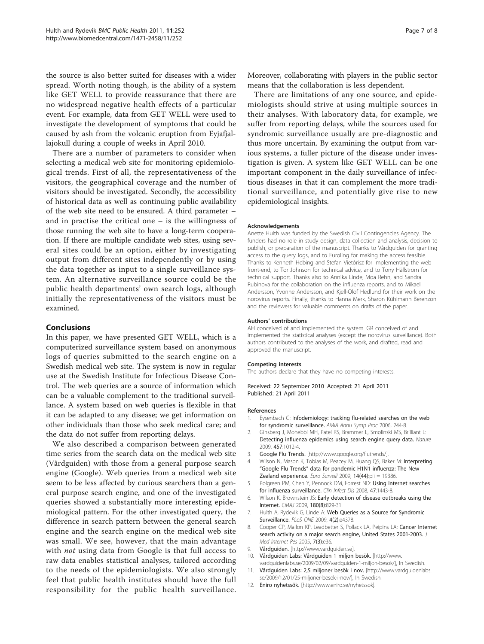<span id="page-6-0"></span>the source is also better suited for diseases with a wider spread. Worth noting though, is the ability of a system like GET WELL to provide reassurance that there are no widespread negative health effects of a particular event. For example, data from GET WELL were used to investigate the development of symptoms that could be caused by ash from the volcanic eruption from Eyjafjallajokull during a couple of weeks in April 2010.

There are a number of parameters to consider when selecting a medical web site for monitoring epidemiological trends. First of all, the representativeness of the visitors, the geographical coverage and the number of visitors should be investigated. Secondly, the accessibility of historical data as well as continuing public availability of the web site need to be ensured. A third parameter – and in practise the critical one – is the willingness of those running the web site to have a long-term cooperation. If there are multiple candidate web sites, using several sites could be an option, either by investigating output from different sites independently or by using the data together as input to a single surveillance system. An alternative surveillance source could be the public health departments' own search logs, although initially the representativeness of the visitors must be examined.

## Conclusions

In this paper, we have presented GET WELL, which is a computerized surveillance system based on anonymous logs of queries submitted to the search engine on a Swedish medical web site. The system is now in regular use at the Swedish Institute for Infectious Disease Control. The web queries are a source of information which can be a valuable complement to the traditional surveillance. A system based on web queries is flexible in that it can be adapted to any disease; we get information on other individuals than those who seek medical care; and the data do not suffer from reporting delays.

We also described a comparison between generated time series from the search data on the medical web site (Vårdguiden) with those from a general purpose search engine (Google). Web queries from a medical web site seem to be less affected by curious searchers than a general purpose search engine, and one of the investigated queries showed a substantially more interesting epidemiological pattern. For the other investigated query, the difference in search pattern between the general search engine and the search engine on the medical web site was small. We see, however, that the main advantage with *not* using data from Google is that full access to raw data enables statistical analyses, tailored according to the needs of the epidemiologists. We also strongly feel that public health institutes should have the full responsibility for the public health surveillance. Moreover, collaborating with players in the public sector means that the collaboration is less dependent.

There are limitations of any one source, and epidemiologists should strive at using multiple sources in their analyses. With laboratory data, for example, we suffer from reporting delays, while the sources used for syndromic surveillance usually are pre-diagnostic and thus more uncertain. By examining the output from various systems, a fuller picture of the disease under investigation is given. A system like GET WELL can be one important component in the daily surveillance of infectious diseases in that it can complement the more traditional surveillance, and potentially give rise to new epidemiological insights.

#### Acknowledgements

Anette Hulth was funded by the Swedish Civil Contingencies Agency. The funders had no role in study design, data collection and analysis, decision to publish, or preparation of the manuscript. Thanks to Vårdguiden for granting access to the query logs, and to Euroling for making the access feasible. Thanks to Kenneth Hebing and Stefan Vietórisz for implementing the web front-end, to Tor Johnson for technical advice, and to Tony Hällström for technical support. Thanks also to Annika Linde, Moa Rehn, and Sandra Rubinova for the collaboration on the influenza reports, and to Mikael Andersson, Yvonne Andersson, and Kjell-Olof Hedlund for their work on the norovirus reports. Finally, thanks to Hanna Merk, Sharon Kühlmann Berenzon and the reviewers for valuable comments on drafts of the paper.

#### Authors' contributions

AH conceived of and implemented the system. GR conceived of and implemented the statistical analyses (except the norovirus surveillance). Both authors contributed to the analyses of the work, and drafted, read and approved the manuscript.

#### Competing interests

The authors declare that they have no competing interests.

Received: 22 September 2010 Accepted: 21 April 2011 Published: 21 April 2011

#### References

- 1. Eysenbach G: Infodemiology: tracking flu-related searches on the web for syndromic surveillance. AMIA Annu Symp Proc 2006, 244-8.
- 2. Ginsberg J, Mohebbi MH, Patel RS, Brammer L, Smolinski MS, Brilliant L: [Detecting influenza epidemics using search engine query data.](http://www.ncbi.nlm.nih.gov/pubmed/19020500?dopt=Abstract) Nature 2009, 457:1012-4.
- 3. Google Flu Trends. [\[http://www.google.org/flutrends/](http://www.google.org/flutrends/)].
- Wilson N, Mason K, Tobias M, Peacey M, Huang QS, Baker M: [Interpreting](http://www.ncbi.nlm.nih.gov/pubmed/19941777?dopt=Abstract) "Google Flu Trends" [data for pandemic H1N1 influenza: The New](http://www.ncbi.nlm.nih.gov/pubmed/19941777?dopt=Abstract) [Zealand experience.](http://www.ncbi.nlm.nih.gov/pubmed/19941777?dopt=Abstract) Euro Surveill 2009, 14(44):pii = 19386.
- 5. Polgreen PM, Chen Y, Pennock DM, Forrest ND: [Using Internet searches](http://www.ncbi.nlm.nih.gov/pubmed/18954267?dopt=Abstract) [for influenza surveillance.](http://www.ncbi.nlm.nih.gov/pubmed/18954267?dopt=Abstract) Clin Infect Dis 2008, 47:1443-8.
- 6. Wilson K, Brownstein JS: [Early detection of disease outbreaks using the](http://www.ncbi.nlm.nih.gov/pubmed/19364791?dopt=Abstract) [Internet.](http://www.ncbi.nlm.nih.gov/pubmed/19364791?dopt=Abstract) CMAJ 2009, 180(8):829-31.
- 7. Hulth A, Rydevik G, Linde A: [Web Queries as a Source for Syndromic](http://www.ncbi.nlm.nih.gov/pubmed/19197389?dopt=Abstract) [Surveillance.](http://www.ncbi.nlm.nih.gov/pubmed/19197389?dopt=Abstract) PLoS ONE 2009, 4(2):e4378.
- 8. Cooper CP, Mallon KP, Leadbetter S, Pollack LA, Peipins LA: [Cancer Internet](http://www.ncbi.nlm.nih.gov/pubmed/15998627?dopt=Abstract) [search activity on a major search engine, United States 2001-2003.](http://www.ncbi.nlm.nih.gov/pubmed/15998627?dopt=Abstract) J Med Internet Res 2005, 7(3):e36.
- Vårdguiden. [[http://www.vardguiden.se\]](http://www.vardguiden.se).
- 10. Vårdguiden Labs: Vårdguiden 1 miljon besök. [[http://www.](http://www.vardguidenlabs.se/2009/02/09/vardguiden-1-miljon-besok/) [vardguidenlabs.se/2009/02/09/vardguiden-1-miljon-besok/\]](http://www.vardguidenlabs.se/2009/02/09/vardguiden-1-miljon-besok/), In Swedish.
- 11. Vårdguiden Labs: 2,5 miljoner besök i nov. [\[http://www.vardguidenlabs.](http://www.vardguidenlabs.se/2009/12/01/25-miljoner-besok-i-nov/) [se/2009/12/01/25-miljoner-besok-i-nov/](http://www.vardguidenlabs.se/2009/12/01/25-miljoner-besok-i-nov/)], In Swedish.
- 12. Eniro nyhetssök. [<http://www.eniro.se/nyhetssok>].